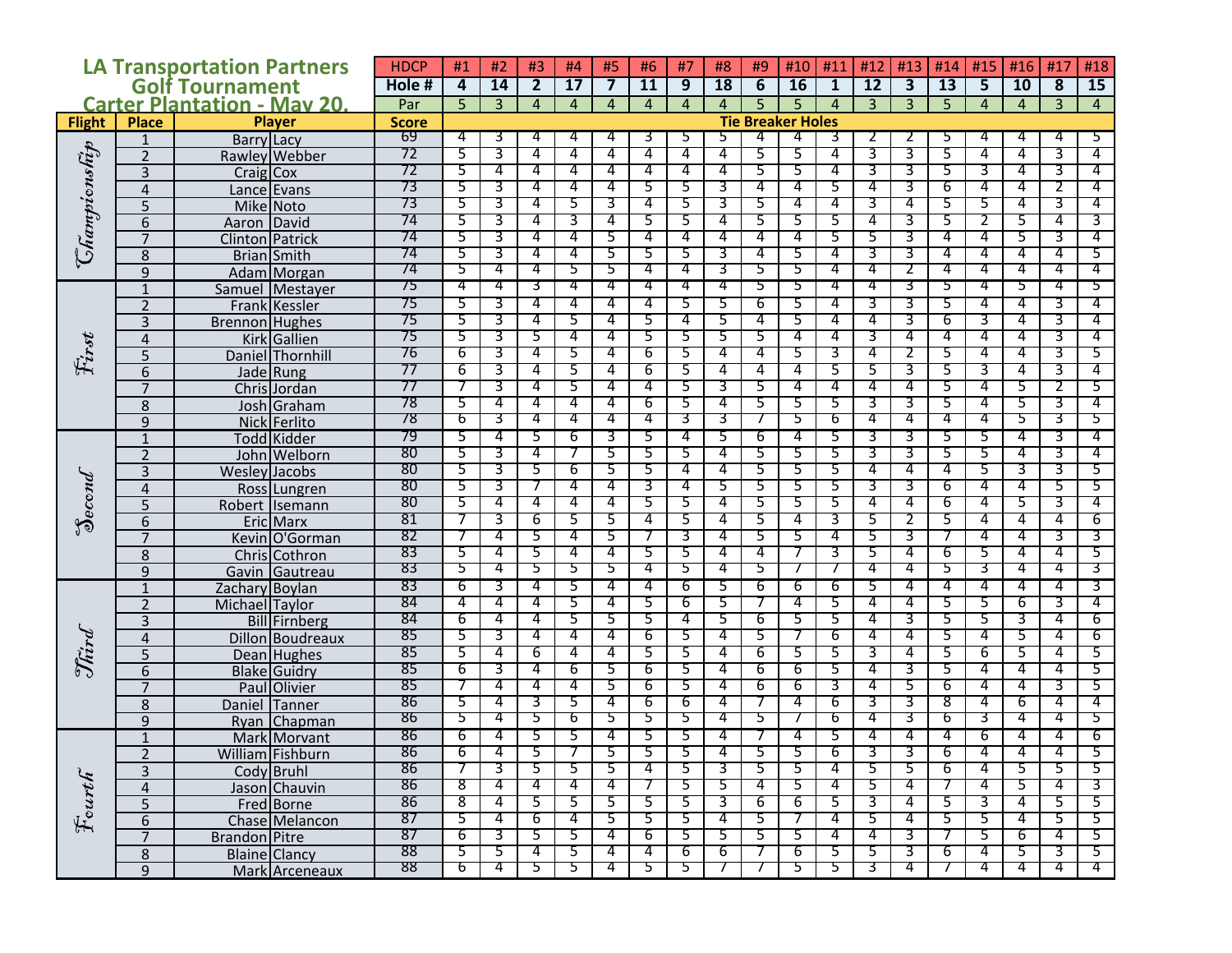| <b>LA Transportation Partners</b>              |                |                        | <b>HDCP</b> | #1                                       | #2             | #3                    | #4              | #5             | #6             | #7              | #8             | #9     | #10    | #11            | #12            | #13                     | #14      | #15                     | #16            | #17    | #18            |
|------------------------------------------------|----------------|------------------------|-------------|------------------------------------------|----------------|-----------------------|-----------------|----------------|----------------|-----------------|----------------|--------|--------|----------------|----------------|-------------------------|----------|-------------------------|----------------|--------|----------------|
| <b>Golf Tournament</b>                         |                |                        | Hole#       | 4                                        | 14             | $\overline{2}$        | $\overline{17}$ | $\overline{7}$ | <b>11</b>      | $\overline{9}$  | 18             | 6      | 16     | $\mathbf{1}$   | 12             | $\overline{\mathbf{3}}$ | 13       | $\overline{\mathbf{5}}$ | 10             | 8      | 15             |
| <b>Carter Plantation - May 20.</b>             |                |                        | Par         | 5 <sup>5</sup>                           | $\overline{3}$ | $\overline{4}$        | $\overline{4}$  | $\overline{4}$ | $\overline{4}$ | $\overline{4}$  | $\overline{4}$ | 5      | 5      | $\overline{4}$ | $\overline{3}$ | $\overline{3}$          | 5        | $\overline{4}$          | $\overline{4}$ | 3      | $\overline{4}$ |
| <b>Place</b><br><b>Player</b><br><b>Flight</b> |                |                        |             | <b>Score</b><br><b>Tie Breaker Holes</b> |                |                       |                 |                |                |                 |                |        |        |                |                |                         |          |                         |                |        |                |
|                                                | 1              | <b>Barry Lacy</b>      | 69          | 4                                        | 3              | 4                     | 4               | 4              | 3              | 5               | 5.             | 4      | 4      | 3              |                |                         | 5        | 4                       | 4              | 4      | 5              |
|                                                | $\overline{2}$ | <b>Rawley Webber</b>   | 72          | 5                                        | 3              | 4                     | 4               | 4              | 4              | $\overline{4}$  | 4              | 5      | 5      | 4              | 3              | 3                       | 5        | 4                       | 4              | 3      | 4              |
| Champicnship                                   | 3              | Craig Cox              | 72          | 5                                        | 4              | 4                     | 4               | 4              | 4              | 4               | 4              | 5      | 5      | 4              | 3              | 3                       | 5        | 3                       | 4              | 3      | 4              |
|                                                | 4              | Lance Evans            | 73          | 5                                        | 3              | 4                     | 4               | 4              | 5.             | 5               | 3              | 4      | 4      | 5.             | 4              | 3                       | 6        | 4                       | 4              | 2      | 4              |
|                                                | 5              | Mike Noto              | 73          | 5                                        | 3              | 4                     | 5               | 3              | 4              | 5               | 3              | 5      | 4      | 4              | 3              | 4                       | 5        | 5                       | 4              | 3      | 4              |
|                                                | 6              | David<br>Aaron         | 74          | 5                                        | 3              | 4                     | 3               | 4              | 5              | 5               | 4              | 5      | 5      | 5              | 4              | 3                       | 5        | 2                       | 5              | 4      | 3              |
|                                                | $\overline{7}$ | <b>Clinton</b> Patrick | 74          | 5                                        | 3              | 4                     | 4               | 5              | 4              | 4               | 4              | 4      | 4      | 5              | 5              | 3                       | 4        | 4                       | 5              | 3      | 4              |
|                                                | 8              | Brian Smith            | 74          | 5                                        | 3              | 4                     | 4               | 5              | 5              | 5               | 3              | 4      | 5      | 4              | 3              | 3                       | 4        | 4                       | 4              | 4      | 5              |
|                                                | 9              | Adam Morgan            | 74          | 5                                        | 4              | 4                     | 5               | 5              | 4              | 4               | 3              | 5      | 5      | 4              | 4              | Ζ                       | 4        | 4                       | 4              | 4      | 4              |
|                                                | $\mathbf{1}$   | Samuel Mestayer        | 75          | 4                                        | 4              | उ                     | 4               | 4              | 4              | 4               | 4              | 5      | 5      | 4              | 4              | 3                       | 5        | 4                       | 5              | 4      | 5              |
|                                                | $\overline{2}$ | Frank Kessler          | 75          | 5                                        | 3              | 4                     | 4               | 4              | 4              | 5               | 5.             | 6      | 5      | 4              | 3              | 3                       | 5.       | 4                       | 4              | 3      | 4              |
|                                                | 3              | <b>Brennon</b> Hughes  | 75          | 5                                        | 3              | 4                     | 5               | 4              | 5              | 4               | 5              | 4      | 5      | 4              | 4              | 3                       | 6        | 3                       | 4              | 3      | 4              |
| First                                          | 4              | <b>Kirk</b> Gallien    | 75          | 5                                        | 3              | 5                     | 4               | 4              | 5.             | 5               | 5              | 5      | 4      | 4              | 3              | 4                       | 4        | 4                       | 4              | 3      | 4              |
|                                                | 5              | Daniel Thornhill       | 76          | 6                                        | 3              | 4                     | 5               | 4              | 6              | 5               | 4              | 4      | 5      | 3              | 4              | 2                       | 5        | 4                       | 4              | 3      | 5              |
|                                                | $\overline{6}$ | Jade Rung              | 77          | 6                                        | 3              | 4                     | 5               | 4              | 6              | 5               | 4              | 4      | 4      | 5              | 5              | 3                       | 5        | 3                       | 4              | 3      | 4              |
|                                                | $\overline{7}$ | Chris Jordan           | 77          |                                          | 3              | 4                     | 5               | 4              | 4              | 5               | 3              | 5      | 4      | 4              | 4              | 4                       | 5        | 4                       | 5              |        | 5              |
|                                                | 8              | Josh Graham            | 78          | 5                                        | 4              | 4                     | 4               | 4              | 6              | 5               | 4              | 5      | 5      | 5              | 3              | 3                       | 5        | 4                       | 5              | 3      | 4              |
|                                                | 9              | Nick Ferlito           | 78          | চ                                        | 3              | 4                     | 4               | 4              | 4              | 3               | उ              |        | 5      | ь              | 4              | 4                       | 4        | 4                       | 5              | 3.     | 5              |
| Second                                         | $\mathbf{1}$   | <b>Todd</b> Kidder     | 79          | 5                                        | 4              | 5                     | 6               | 3              | 5              | 4               | 5              | 6      | 4      | 5              | 3              | 3                       | 5        | 5                       | 4              | 3      | 4              |
|                                                | $\overline{2}$ | John Welborn           | 80          | 5                                        | 3              | 4                     | 7               | 5              | 5              | 5               | 4              | 5      | 5      | 5              | 3              | 3                       | 5        | 5                       | 4              | 3      | 4              |
|                                                | 3              | <b>Wesley Jacobs</b>   | 80          | 5                                        | 3              | 5                     | 6               | 5              | 5              | 4               | 4              | 5      | 5      | 5              | 4              | 4                       | 4        | 5                       | 3              | 3      | 5              |
|                                                | $\overline{4}$ | Ross Lungren           | 80          | 5                                        | 3              |                       | 4               | 4              | 3              | 4               | 5              | 5      | 5      | 5              | 3              | 3                       | 6        | 4                       | 4              | 5      | 5              |
|                                                | 5              | Robert Isemann         | 80          | 5                                        | 4              | 4                     | 4               | 4              | 5              | 5               | 4              | 5      | 5      | 5              | 4              | 4                       | 6        | 4                       | 5              | 3      | 4              |
|                                                | 6              | Eric Marx              | 81          | 7                                        | 3              | 6                     | 5               | 5              | 4              | 5               | 4              | 5      | 4      | 3              | 5              | 2                       | 5        | 4                       | 4              | 4      | 6              |
|                                                | $\overline{7}$ | Kevin O'Gorman         | -82         |                                          | 4              | 5                     | 4               | 5              |                | 3               | 4              | 5      | 5      | 4              | 5              | 3                       |          | 4                       | 4              | 3      | 3              |
|                                                | 8              | Chris Cothron          | 83          | 5                                        | 4              | 5                     | 4               | 4              | 5.             | 5               | 4              | 4      |        | 3              | 5              | 4                       | 6        | 5                       | 4              | 4      | 5              |
|                                                | 9              | Gavin Gautreau         | 83          | 5                                        | 4              | 5                     | 5               | 5              | 4              | 5               | 4              | 5.     |        |                | 4              | 4                       | 5        | 3                       | 4              | 4      | 3              |
|                                                | $\mathbf{1}$   | Zachary Boylan         | 83          | 6                                        | 3              | 4                     | 5               | 4              | 4              | 6               | 5              | 6      | 6      | 6              | 5              | 4                       | 4        | 4                       | 4              | 4      | 3              |
|                                                | $\overline{2}$ | Michael Taylor         | 84          | 4                                        | 4              | 4                     | 5               | 4              | 5              | 6               | 5              |        | 4      | 5              | 4              | 4                       | 5        | 5                       | 6              | 3      | 4              |
|                                                | 3              | <b>Bill</b> Firnberg   | 84          | 6                                        | 4              | 4                     | 5               | 5              | 5              | 4               | 5              | 6      | 5      | 5              | 4              | 3                       | 5        | 5                       | 3              | 4      | 6              |
| Third                                          | 4              | Dillon Boudreaux       | 85          | 5                                        | 3              | 4                     | 4               | 4              | 6              | 5               | 4              | 5      |        | 6              | 4              | 4                       | 5        | 4                       | 5              | 4      | 6              |
|                                                | 5              | Dean Hughes            | 85          | 5                                        | 4              | 6                     | 4               | 4              | 5              | 5               | 4              | 6      | 5      | 5              | 3              | 4                       | 5        | 6                       | 5              | 4      | 5              |
|                                                | 6              | <b>Blake</b> Guidry    | 85          | 6                                        | 3              | 4                     | 6               | 5              | 6              | 5               | 4              | 6      | 6      | 5              | 4              | 3                       | 5        | 4                       | 4              | 4      | 5              |
|                                                | $\overline{7}$ | Paul Olivier           | -85<br>86   | 5                                        | 4<br>4         | 4<br>3                | 4               | 5<br>4         | 6              | 5               | 4<br>4         | 6      | 6<br>4 | 3              | 4              | 5<br>3                  | 6<br>8   | 4<br>4                  | 4<br>6         | 3<br>4 | 5<br>4         |
|                                                | 8              | Daniel Tanner          | 86          | 5                                        | 4              | 5                     | 5<br>ь          |                | 6              | 6               | 4              |        |        | 6<br>ь         | 3<br>4         | 3                       | ь        |                         | 4              | 4      | 5              |
| Fourth                                         | 9              | Chapman<br>Rvan        |             |                                          |                |                       |                 | 5              | 5              | Ь               |                | כ      |        |                |                |                         |          | 3                       |                |        |                |
|                                                | $\mathbf{1}$   | Mark Morvant           | 86<br>०८    | 6<br>6                                   | 4              | 5                     | 5               | 4              | 5.             | 5               | 4              |        | 4      | 5.             | 4              | 4                       | 4        | 6                       | 4              | 4      | 6              |
|                                                |                | William Fishburn       | oυ<br>86    |                                          | 3              | ⊃<br>5                |                 | ⊃<br>5         | 4              | 5<br>5          | 3              | ⊃<br>5 | ⊃<br>5 | 6<br>4         | c<br>5         | c<br>5                  | υ<br>6   | 4                       | 5              | 5.     | 5              |
|                                                | 3              | Cody Bruhl             | 86          | 8                                        | 4              | 4                     | 5<br>4          | 4              |                |                 |                | 4      |        |                |                | 4                       |          |                         | 5              |        | 3              |
|                                                | $\overline{4}$ | Jason Chauvin          | 86          | 8                                        |                |                       |                 | 5              |                | 5               | 5.<br>3        |        | 5      | 4              | 5.             |                         | 7        | 4                       | 4              | 4<br>5 | 5              |
|                                                | $\overline{5}$ | Fred Borne             | 87          | 5                                        | 4<br>4         | 5.<br>$6\overline{6}$ | 5<br>4          | 5              | 5.<br>5        | 5<br>5          | 4              | 6<br>5 | 6      | 5.<br>4        | 3<br>5         | 4<br>4                  | 5.<br>5  | 3<br>5                  | 4              | 5      | 5              |
|                                                | $\overline{6}$ | Chase Melancon         | 87          | 6                                        | 3              | 5                     | 5               | 4              | 6              | 5               | 5.             | 5      | 7      | 4              | 4              | 3                       | 7        | 5                       | 6              | 4      | 5              |
|                                                | $\overline{7}$ | <b>Brandon</b> Pitre   | 88          | 5.                                       | 5              | 4                     | 5               | 4              | 4              | $6\overline{6}$ | 6              |        | 5<br>6 | 5              | 5.             | 3                       | 6        | -4                      | 5              | 3      | 5              |
|                                                | $\overline{8}$ | Blaine Clancy          | 88          | p                                        | 4              | 5                     | 5               | 4              | 5.             | Ы               | $\prime$       |        | 5      | 5              | 3              | 4                       | $\prime$ | 4                       | 4              | 4      | 4              |
|                                                | 9              | Mark Arceneaux         |             |                                          |                |                       |                 |                |                |                 |                |        |        |                |                |                         |          |                         |                |        |                |